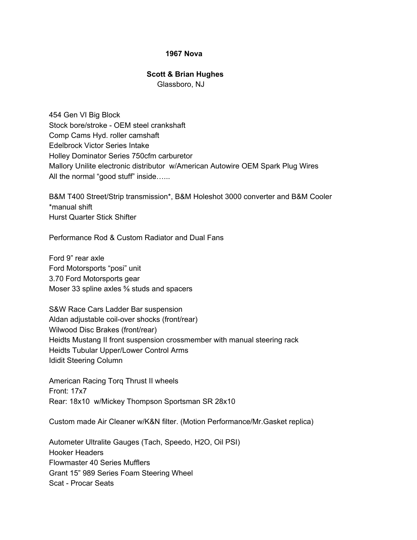## **1967 Nova**

## **Scott & Brian Hughes**

Glassboro, NJ

454 Gen VI Big Block Stock bore/stroke - OEM steel crankshaft Comp Cams Hyd. roller camshaft Edelbrock Victor Series Intake Holley Dominator Series 750cfm carburetor Mallory Unilite electronic distributor w/American Autowire OEM Spark Plug Wires All the normal "good stuff" inside......

B&M T400 Street/Strip transmission\*, B&M Holeshot 3000 converter and B&M Cooler \*manual shift Hurst Quarter Stick Shifter

Performance Rod & Custom Radiator and Dual Fans

Ford 9" rear axle Ford Motorsports "posi" unit 3.70 Ford Motorsports gear Moser 33 spline axles <sup>5</sup>% studs and spacers

S&W Race Cars Ladder Bar suspension Aldan adjustable coil-over shocks (front/rear) Wilwood Disc Brakes (front/rear) Heidts Mustang II front suspension crossmember with manual steering rack Heidts Tubular Upper/Lower Control Arms Ididit Steering Column

American Racing Torq Thrust II wheels Front: 17x7 Rear: 18x10 w/Mickey Thompson Sportsman SR 28x10

Custom made Air Cleaner w/K&N filter. (Motion Performance/Mr.Gasket replica)

Autometer Ultralite Gauges (Tach, Speedo, H2O, Oil PSI) Hooker Headers Flowmaster 40 Series Mufflers Grant 15" 989 Series Foam Steering Wheel Scat - Procar Seats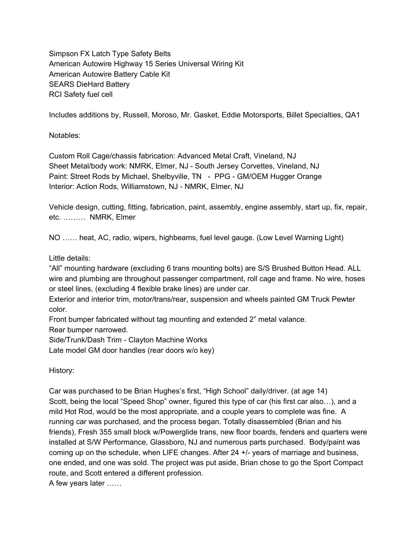Simpson FX Latch Type Safety Belts American Autowire Highway 15 Series Universal Wiring Kit American Autowire Battery Cable Kit SEARS DieHard Battery RCI Safety fuel cell

Includes additions by, Russell, Moroso, Mr. Gasket, Eddie Motorsports, Billet Specialties, QA1

Notables:

Custom Roll Cage/chassis fabrication: Advanced Metal Craft, Vineland, NJ Sheet Metal/body work: NMRK, Elmer, NJ - South Jersey Corvettes, Vineland, NJ Paint: Street Rods by Michael, Shelbyville, TN - PPG - GM/OEM Hugger Orange Interior: Action Rods, Williamstown, NJ - NMRK, Elmer, NJ

Vehicle design, cutting, fitting, fabrication, paint, assembly, engine assembly, start up, fix, repair, etc. ……… NMRK, Elmer

NO …… heat, AC, radio, wipers, highbeams, fuel level gauge. (Low Level Warning Light)

Little details:

"All" mounting hardware (excluding 6 trans mounting bolts) are S/S Brushed Button Head. ALL wire and plumbing are throughout passenger compartment, roll cage and frame. No wire, hoses or steel lines, (excluding 4 flexible brake lines) are under car.

Exterior and interior trim, motor/trans/rear, suspension and wheels painted GM Truck Pewter color.

Front bumper fabricated without tag mounting and extended 2" metal valance.

Rear bumper narrowed.

Side/Trunk/Dash Trim - Clayton Machine Works

Late model GM door handles (rear doors w/o key)

History:

Car was purchased to be Brian Hughes's first, "High School" daily/driver. (at age 14) Scott, being the local "Speed Shop" owner, figured this type of car (his first car also…), and a mild Hot Rod, would be the most appropriate, and a couple years to complete was fine. A running car was purchased, and the process began. Totally disassembled (Brian and his friends), Fresh 355 small block w/Powerglide trans, new floor boards, fenders and quarters were installed at S/W Performance, Glassboro, NJ and numerous parts purchased. Body/paint was coming up on the schedule, when LIFE changes. After 24 +/- years of marriage and business, one ended, and one was sold. The project was put aside, Brian chose to go the Sport Compact route, and Scott entered a different profession.

A few years later ……